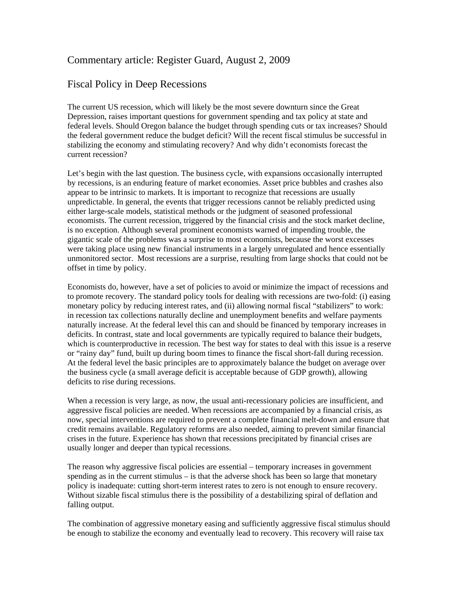## Commentary article: Register Guard, August 2, 2009

## Fiscal Policy in Deep Recessions

The current US recession, which will likely be the most severe downturn since the Great Depression, raises important questions for government spending and tax policy at state and federal levels. Should Oregon balance the budget through spending cuts or tax increases? Should the federal government reduce the budget deficit? Will the recent fiscal stimulus be successful in stabilizing the economy and stimulating recovery? And why didn't economists forecast the current recession?

Let's begin with the last question. The business cycle, with expansions occasionally interrupted by recessions, is an enduring feature of market economies. Asset price bubbles and crashes also appear to be intrinsic to markets. It is important to recognize that recessions are usually unpredictable. In general, the events that trigger recessions cannot be reliably predicted using either large-scale models, statistical methods or the judgment of seasoned professional economists. The current recession, triggered by the financial crisis and the stock market decline, is no exception. Although several prominent economists warned of impending trouble, the gigantic scale of the problems was a surprise to most economists, because the worst excesses were taking place using new financial instruments in a largely unregulated and hence essentially unmonitored sector. Most recessions are a surprise, resulting from large shocks that could not be offset in time by policy.

Economists do, however, have a set of policies to avoid or minimize the impact of recessions and to promote recovery. The standard policy tools for dealing with recessions are two-fold: (i) easing monetary policy by reducing interest rates, and (ii) allowing normal fiscal "stabilizers" to work: in recession tax collections naturally decline and unemployment benefits and welfare payments naturally increase. At the federal level this can and should be financed by temporary increases in deficits. In contrast, state and local governments are typically required to balance their budgets, which is counterproductive in recession. The best way for states to deal with this issue is a reserve or "rainy day" fund, built up during boom times to finance the fiscal short-fall during recession. At the federal level the basic principles are to approximately balance the budget on average over the business cycle (a small average deficit is acceptable because of GDP growth), allowing deficits to rise during recessions.

When a recession is very large, as now, the usual anti-recessionary policies are insufficient, and aggressive fiscal policies are needed. When recessions are accompanied by a financial crisis, as now, special interventions are required to prevent a complete financial melt-down and ensure that credit remains available. Regulatory reforms are also needed, aiming to prevent similar financial crises in the future. Experience has shown that recessions precipitated by financial crises are usually longer and deeper than typical recessions.

The reason why aggressive fiscal policies are essential – temporary increases in government spending as in the current stimulus – is that the adverse shock has been so large that monetary policy is inadequate: cutting short-term interest rates to zero is not enough to ensure recovery. Without sizable fiscal stimulus there is the possibility of a destabilizing spiral of deflation and falling output.

The combination of aggressive monetary easing and sufficiently aggressive fiscal stimulus should be enough to stabilize the economy and eventually lead to recovery. This recovery will raise tax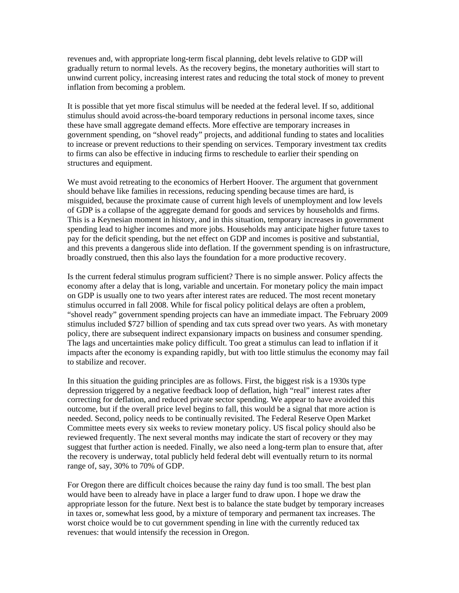revenues and, with appropriate long-term fiscal planning, debt levels relative to GDP will gradually return to normal levels. As the recovery begins, the monetary authorities will start to unwind current policy, increasing interest rates and reducing the total stock of money to prevent inflation from becoming a problem.

It is possible that yet more fiscal stimulus will be needed at the federal level. If so, additional stimulus should avoid across-the-board temporary reductions in personal income taxes, since these have small aggregate demand effects. More effective are temporary increases in government spending, on "shovel ready" projects, and additional funding to states and localities to increase or prevent reductions to their spending on services. Temporary investment tax credits to firms can also be effective in inducing firms to reschedule to earlier their spending on structures and equipment.

We must avoid retreating to the economics of Herbert Hoover. The argument that government should behave like families in recessions, reducing spending because times are hard, is misguided, because the proximate cause of current high levels of unemployment and low levels of GDP is a collapse of the aggregate demand for goods and services by households and firms. This is a Keynesian moment in history, and in this situation, temporary increases in government spending lead to higher incomes and more jobs. Households may anticipate higher future taxes to pay for the deficit spending, but the net effect on GDP and incomes is positive and substantial, and this prevents a dangerous slide into deflation. If the government spending is on infrastructure, broadly construed, then this also lays the foundation for a more productive recovery.

Is the current federal stimulus program sufficient? There is no simple answer. Policy affects the economy after a delay that is long, variable and uncertain. For monetary policy the main impact on GDP is usually one to two years after interest rates are reduced. The most recent monetary stimulus occurred in fall 2008. While for fiscal policy political delays are often a problem, "shovel ready" government spending projects can have an immediate impact. The February 2009 stimulus included \$727 billion of spending and tax cuts spread over two years. As with monetary policy, there are subsequent indirect expansionary impacts on business and consumer spending. The lags and uncertainties make policy difficult. Too great a stimulus can lead to inflation if it impacts after the economy is expanding rapidly, but with too little stimulus the economy may fail to stabilize and recover.

In this situation the guiding principles are as follows. First, the biggest risk is a 1930s type depression triggered by a negative feedback loop of deflation, high "real" interest rates after correcting for deflation, and reduced private sector spending. We appear to have avoided this outcome, but if the overall price level begins to fall, this would be a signal that more action is needed. Second, policy needs to be continually revisited. The Federal Reserve Open Market Committee meets every six weeks to review monetary policy. US fiscal policy should also be reviewed frequently. The next several months may indicate the start of recovery or they may suggest that further action is needed. Finally, we also need a long-term plan to ensure that, after the recovery is underway, total publicly held federal debt will eventually return to its normal range of, say, 30% to 70% of GDP.

For Oregon there are difficult choices because the rainy day fund is too small. The best plan would have been to already have in place a larger fund to draw upon. I hope we draw the appropriate lesson for the future. Next best is to balance the state budget by temporary increases in taxes or, somewhat less good, by a mixture of temporary and permanent tax increases. The worst choice would be to cut government spending in line with the currently reduced tax revenues: that would intensify the recession in Oregon.